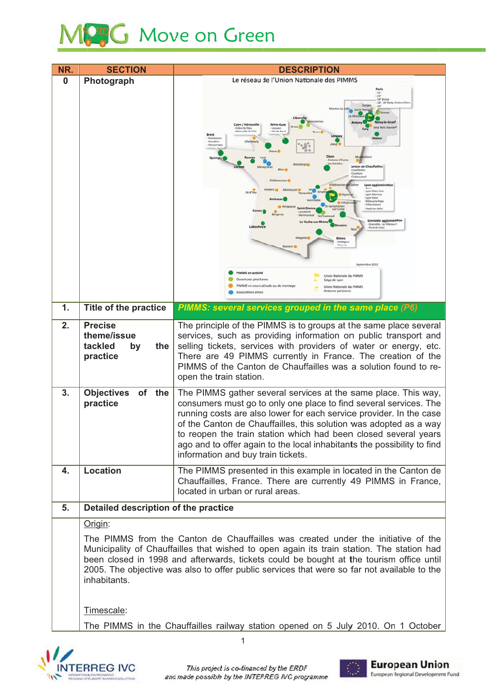## Move on Green

| NR. | <b>SECTION</b>                                                                                                                                                                                                                                                                                                                                                                           | <b>DESCRIPTION</b>                                                                                                                                                                                                                                                                                                                                                                                                                                                                                                                                                                                                                                                                                                                                                                                                                     |  |
|-----|------------------------------------------------------------------------------------------------------------------------------------------------------------------------------------------------------------------------------------------------------------------------------------------------------------------------------------------------------------------------------------------|----------------------------------------------------------------------------------------------------------------------------------------------------------------------------------------------------------------------------------------------------------------------------------------------------------------------------------------------------------------------------------------------------------------------------------------------------------------------------------------------------------------------------------------------------------------------------------------------------------------------------------------------------------------------------------------------------------------------------------------------------------------------------------------------------------------------------------------|--|
| 0   | Photograph                                                                                                                                                                                                                                                                                                                                                                               | Le réseau de l'Union Nationale des PIMMS<br>Pari                                                                                                                                                                                                                                                                                                                                                                                                                                                                                                                                                                                                                                                                                                                                                                                       |  |
|     |                                                                                                                                                                                                                                                                                                                                                                                          | $-12^{n}$<br>19'<br>18° Bicha<br>18", 19" Porte (Au)<br><b>Voisy-le-Gran</b><br>Caen / Hérouville<br>Seine-Eure<br>Evry Bois Souvoy<br>Gräce de Dieu<br>Louviers<br>te Guillair<br>Vol.de-Re<br><b>Brest</b><br>Longwy<br>Pontaneor<br>Cherbourg<br>Kereden<br>Dreux <sup>6</sup><br>Fontaine d'Ouch<br>Les Grésilles<br>Canton de Chauffailli<br><b>Blois</b><br>Chauffailles<br>Coubland<br>Châteauroux C<br>Villefronche-Br<br>Lyon agglomération<br><b>Lyon Etats-Uni</b><br>lle d'Yes<br><b>Lyon Mermor</b><br><b>Lyon Valse</b><br><b>Ullieux la Pape</b><br>Villeurbanne<br>Saint-Eien<br>Vaula en Vela<br>La cotor<br><b>Montreynaud</b><br>S <sub>0</sub><br>Grenoble agglomération<br>Pont de Clair<br>Valdege<br>Septembre 2012<br>PIMMS en activité<br>Union Nationale des PIMMS<br>Ouvertures prochaines<br>Siège de Lyon |  |
|     |                                                                                                                                                                                                                                                                                                                                                                                          | PIMMS en cours détude ou de montage<br>Union Nationale des PIMMS<br>Antenne parisienni<br>Associations amies                                                                                                                                                                                                                                                                                                                                                                                                                                                                                                                                                                                                                                                                                                                           |  |
| 1.  | <b>Title of the practice</b>                                                                                                                                                                                                                                                                                                                                                             | PIMMS: several services grouped in the same place (P6)                                                                                                                                                                                                                                                                                                                                                                                                                                                                                                                                                                                                                                                                                                                                                                                 |  |
| 2.  | <b>Precise</b>                                                                                                                                                                                                                                                                                                                                                                           | The principle of the PIMMS is to groups at the same place several                                                                                                                                                                                                                                                                                                                                                                                                                                                                                                                                                                                                                                                                                                                                                                      |  |
|     | theme/issue<br>tackled<br>the<br>by                                                                                                                                                                                                                                                                                                                                                      | services, such as providing information on public transport and<br>selling tickets, services with providers of water or energy, etc.                                                                                                                                                                                                                                                                                                                                                                                                                                                                                                                                                                                                                                                                                                   |  |
|     | practice                                                                                                                                                                                                                                                                                                                                                                                 | There are 49 PIMMS currently in France. The creation of the<br>PIMMS of the Canton de Chauffailles was a solution found to re-<br>open the train station.                                                                                                                                                                                                                                                                                                                                                                                                                                                                                                                                                                                                                                                                              |  |
| 3.  | <b>Objectives</b><br>of<br>the                                                                                                                                                                                                                                                                                                                                                           | The PIMMS gather several services at the same place. This way,                                                                                                                                                                                                                                                                                                                                                                                                                                                                                                                                                                                                                                                                                                                                                                         |  |
|     | practice                                                                                                                                                                                                                                                                                                                                                                                 | consumers must go to only one place to find several services. The<br>running costs are also lower for each service provider. In the case<br>of the Canton de Chauffailles, this solution was adopted as a way<br>to reopen the train station which had been closed several years<br>ago and to offer again to the local inhabitants the possibility to find<br>information and buy train tickets.                                                                                                                                                                                                                                                                                                                                                                                                                                      |  |
| 4.  | <b>Location</b>                                                                                                                                                                                                                                                                                                                                                                          | The PIMMS presented in this example in located in the Canton de<br>Chauffailles, France. There are currently 49 PIMMS in France,<br>located in urban or rural areas.                                                                                                                                                                                                                                                                                                                                                                                                                                                                                                                                                                                                                                                                   |  |
| 5.  | Detailed description of the practice                                                                                                                                                                                                                                                                                                                                                     |                                                                                                                                                                                                                                                                                                                                                                                                                                                                                                                                                                                                                                                                                                                                                                                                                                        |  |
|     | Origin:                                                                                                                                                                                                                                                                                                                                                                                  |                                                                                                                                                                                                                                                                                                                                                                                                                                                                                                                                                                                                                                                                                                                                                                                                                                        |  |
|     | The PIMMS from the Canton de Chauffailles was created under the initiative of the<br>Municipality of Chauffailles that wished to open again its train station. The station had<br>been closed in 1998 and afterwards, tickets could be bought at the tourism office until<br>2005. The objective was also to offer public services that were so far not available to the<br>inhabitants. |                                                                                                                                                                                                                                                                                                                                                                                                                                                                                                                                                                                                                                                                                                                                                                                                                                        |  |
|     | Timescale:                                                                                                                                                                                                                                                                                                                                                                               |                                                                                                                                                                                                                                                                                                                                                                                                                                                                                                                                                                                                                                                                                                                                                                                                                                        |  |
|     |                                                                                                                                                                                                                                                                                                                                                                                          | The PIMMS in the Chauffailles railway station opened on 5 July 2010. On 1 October                                                                                                                                                                                                                                                                                                                                                                                                                                                                                                                                                                                                                                                                                                                                                      |  |
|     |                                                                                                                                                                                                                                                                                                                                                                                          |                                                                                                                                                                                                                                                                                                                                                                                                                                                                                                                                                                                                                                                                                                                                                                                                                                        |  |





1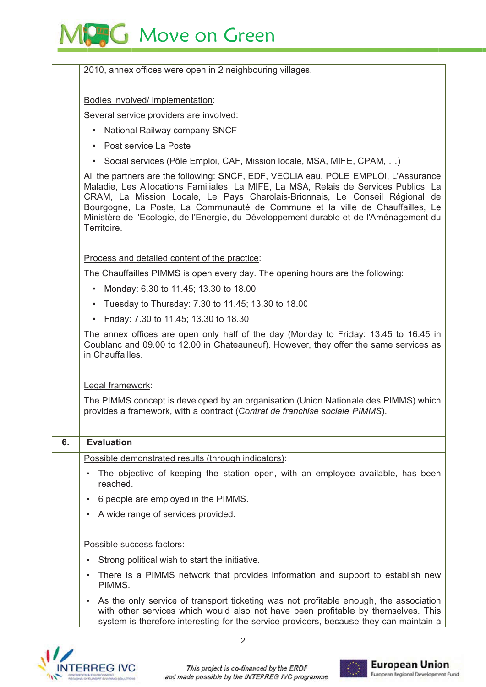

|    | 2010, annex offices were open in 2 neighbouring villages.                                                                                                                                                                                                                                                                                                                                                                                             |  |  |
|----|-------------------------------------------------------------------------------------------------------------------------------------------------------------------------------------------------------------------------------------------------------------------------------------------------------------------------------------------------------------------------------------------------------------------------------------------------------|--|--|
|    | Bodies involved/ implementation:                                                                                                                                                                                                                                                                                                                                                                                                                      |  |  |
|    | Several service providers are involved:                                                                                                                                                                                                                                                                                                                                                                                                               |  |  |
|    | National Railway company SNCF                                                                                                                                                                                                                                                                                                                                                                                                                         |  |  |
|    | Post service La Poste                                                                                                                                                                                                                                                                                                                                                                                                                                 |  |  |
|    | • Social services (Pôle Emploi, CAF, Mission locale, MSA, MIFE, CPAM, )                                                                                                                                                                                                                                                                                                                                                                               |  |  |
|    | All the partners are the following: SNCF, EDF, VEOLIA eau, POLE EMPLOI, L'Assurance<br>Maladie, Les Allocations Familiales, La MIFE, La MSA, Relais de Services Publics, La<br>CRAM, La Mission Locale, Le Pays Charolais-Brionnais, Le Conseil Régional de<br>Bourgogne, La Poste, La Communauté de Commune et la ville de Chauffailles, Le<br>Ministère de l'Ecologie, de l'Energie, du Développement durable et de l'Aménagement du<br>Territoire. |  |  |
|    | Process and detailed content of the practice:                                                                                                                                                                                                                                                                                                                                                                                                         |  |  |
|    | The Chauffailles PIMMS is open every day. The opening hours are the following:                                                                                                                                                                                                                                                                                                                                                                        |  |  |
|    | Monday: 6.30 to 11.45; 13.30 to 18.00<br>$\bullet$                                                                                                                                                                                                                                                                                                                                                                                                    |  |  |
|    | Tuesday to Thursday: 7.30 to 11.45; 13.30 to 18.00<br>$\bullet$                                                                                                                                                                                                                                                                                                                                                                                       |  |  |
|    | Friday: 7.30 to 11.45; 13.30 to 18.30<br>$\bullet$                                                                                                                                                                                                                                                                                                                                                                                                    |  |  |
|    | The annex offices are open only half of the day (Monday to Friday: 13.45 to 16.45 in<br>Coublanc and 09.00 to 12.00 in Chateauneuf). However, they offer the same services as<br>in Chauffailles.                                                                                                                                                                                                                                                     |  |  |
|    | Legal framework:                                                                                                                                                                                                                                                                                                                                                                                                                                      |  |  |
|    | The PIMMS concept is developed by an organisation (Union Nationale des PIMMS) which<br>provides a framework, with a contract (Contrat de franchise sociale PIMMS).                                                                                                                                                                                                                                                                                    |  |  |
| 6. | <b>Evaluation</b>                                                                                                                                                                                                                                                                                                                                                                                                                                     |  |  |
|    | Possible demonstrated results (through indicators):                                                                                                                                                                                                                                                                                                                                                                                                   |  |  |
|    | The objective of keeping the station open, with an employee available, has been<br>reached.                                                                                                                                                                                                                                                                                                                                                           |  |  |
|    | 6 people are employed in the PIMMS.                                                                                                                                                                                                                                                                                                                                                                                                                   |  |  |
|    | A wide range of services provided.                                                                                                                                                                                                                                                                                                                                                                                                                    |  |  |
|    | Possible success factors:                                                                                                                                                                                                                                                                                                                                                                                                                             |  |  |
|    | Strong political wish to start the initiative.                                                                                                                                                                                                                                                                                                                                                                                                        |  |  |
|    | There is a PIMMS network that provides information and support to establish new<br>PIMMS.                                                                                                                                                                                                                                                                                                                                                             |  |  |
|    | As the only service of transport ticketing was not profitable enough, the association<br>with other services which would also not have been profitable by themselves. This<br>system is therefore interesting for the service providers, because they can maintain a                                                                                                                                                                                  |  |  |